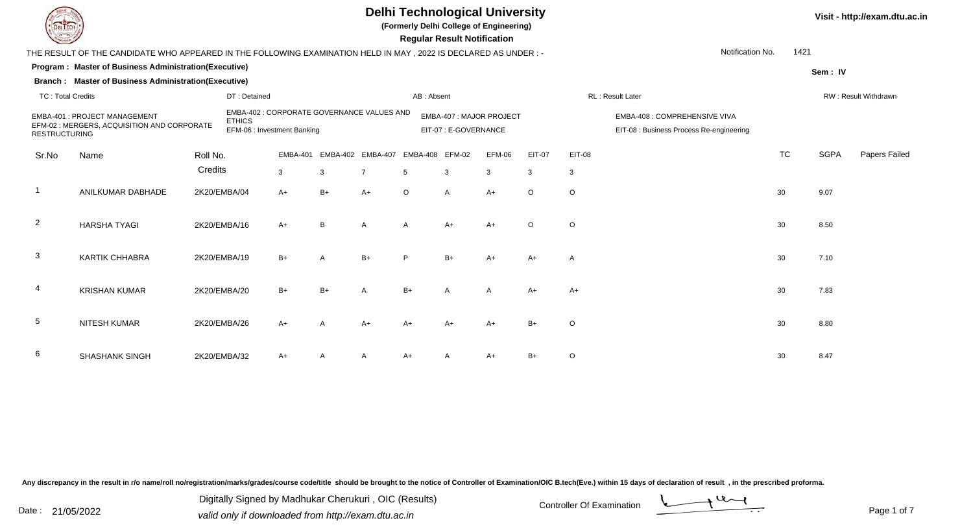

**(Formerly Delhi College of Engineering)**

**Visit - http://exam.dtu.ac.in**

 **Regular Result Notification**

|                                                                                                                                                                                                          | THE RESULT OF THE CANDIDATE WHO APPEARED IN THE FOLLOWING EXAMINATION HELD IN MAY, 2022 IS DECLARED AS UNDER :-      |          |              |                 |            |                   |                       |                         |        |         |                                                                           | Notification No. | 1421      |                      |               |  |
|----------------------------------------------------------------------------------------------------------------------------------------------------------------------------------------------------------|----------------------------------------------------------------------------------------------------------------------|----------|--------------|-----------------|------------|-------------------|-----------------------|-------------------------|--------|---------|---------------------------------------------------------------------------|------------------|-----------|----------------------|---------------|--|
|                                                                                                                                                                                                          | Program: Master of Business Administration(Executive)<br><b>Branch: Master of Business Administration(Executive)</b> |          |              |                 |            |                   |                       |                         |        |         |                                                                           |                  |           | Sem: IV              |               |  |
| <b>TC: Total Credits</b>                                                                                                                                                                                 |                                                                                                                      |          | DT: Detained |                 | AB: Absent |                   |                       |                         |        |         |                                                                           | RL: Result Later |           | RW: Result Withdrawn |               |  |
| EMBA-402 : CORPORATE GOVERNANCE VALUES AND<br><b>EMBA-401: PROJECT MANAGEMENT</b><br><b>ETHICS</b><br>EFM-02 : MERGERS, ACQUISITION AND CORPORATE<br>EFM-06 : Investment Banking<br><b>RESTRUCTURING</b> |                                                                                                                      |          |              |                 |            |                   | EIT-07 : E-GOVERNANCE | EMBA-407: MAJOR PROJECT |        |         | EMBA-408 : COMPREHENSIVE VIVA<br>EIT-08 : Business Process Re-engineering |                  |           |                      |               |  |
| Sr.No                                                                                                                                                                                                    | Name                                                                                                                 | Roll No. |              | <b>EMBA-401</b> |            | EMBA-402 EMBA-407 | EMBA-408 EFM-02       |                         | EFM-06 | EIT-07  | EIT-08                                                                    |                  | <b>TC</b> | <b>SGPA</b>          | Papers Failec |  |
|                                                                                                                                                                                                          |                                                                                                                      | Credits  |              | 3               | 3          | $\overline{7}$    | 5                     | 3                       | 3      | 3       | $\mathbf{3}$                                                              |                  |           |                      |               |  |
|                                                                                                                                                                                                          | ANILKUMAR DABHADE                                                                                                    |          | 2K20/EMBA/04 | $A+$            | $B+$       | $A+$              | $\circ$               | A                       | $A+$   | $\circ$ | $\circ$                                                                   |                  | 30        | 9.07                 |               |  |
| $\overline{2}$                                                                                                                                                                                           | <b>HARSHA TYAGI</b>                                                                                                  |          | 2K20/EMBA/16 | $A+$            | B          | $\mathsf{A}$      | $\mathsf{A}$          | A+                      | $A+$   | $\circ$ | $\circ$                                                                   |                  | 30        | 8.50                 |               |  |
| 3                                                                                                                                                                                                        | <b>KARTIK CHHABRA</b>                                                                                                |          | 2K20/EMBA/19 | $B+$            |            | $B+$              | D                     | $B+$                    | $A+$   | $A+$    | A                                                                         |                  | 30        | 7.10                 |               |  |
|                                                                                                                                                                                                          | <b>KRISHAN KUMAR</b>                                                                                                 |          | 2K20/EMBA/20 | $B+$            | $B+$       | A                 | $B+$                  | A                       | A      | $A+$    | $A+$                                                                      |                  | 30        | 7.83                 |               |  |
| 5                                                                                                                                                                                                        | <b>NITESH KUMAR</b>                                                                                                  |          | 2K20/EMBA/26 | $A+$            |            | $A+$              | $A+$                  | $A+$                    | $A+$   | $B+$    | $\circ$                                                                   |                  | 30        | 8.80                 |               |  |
| 6                                                                                                                                                                                                        | <b>SHASHANK SINGH</b>                                                                                                |          | 2K20/EMBA/32 | A+              |            | A                 | A+                    |                         | $A+$   | B+      | $\circ$                                                                   |                  | 30        | 8.47                 |               |  |

Any discrepancy in the result in r/o name/roll no/registration/marks/grades/course code/title should be brought to the notice of Controller of Examination/OIC B.tech(Eve.) within 15 days of declaration of result, in the pr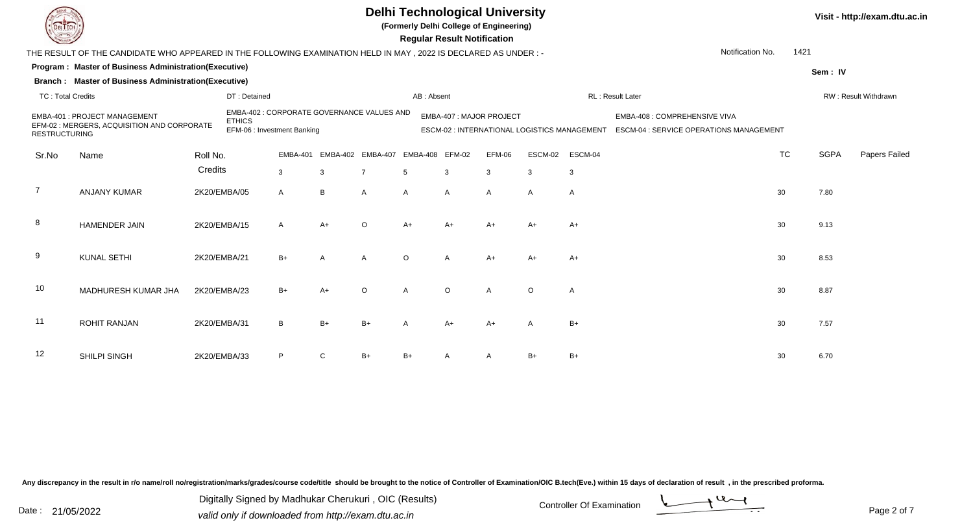**(Formerly Delhi College of Engineering)**

 **Regular Result Notification**

| $\tilde{}$               |                                                                                                                 |              |                                                                                            |              |                                            |                | 11998181 1199811 11911119811911 |              |                          |              |                                              |                                                                          |           |             |                      |
|--------------------------|-----------------------------------------------------------------------------------------------------------------|--------------|--------------------------------------------------------------------------------------------|--------------|--------------------------------------------|----------------|---------------------------------|--------------|--------------------------|--------------|----------------------------------------------|--------------------------------------------------------------------------|-----------|-------------|----------------------|
|                          | THE RESULT OF THE CANDIDATE WHO APPEARED IN THE FOLLOWING EXAMINATION HELD IN MAY, 2022 IS DECLARED AS UNDER :- |              |                                                                                            |              |                                            |                |                                 |              |                          |              |                                              | Notification No.                                                         | 1421      |             |                      |
|                          | Program: Master of Business Administration(Executive)                                                           |              |                                                                                            |              |                                            |                |                                 |              |                          |              |                                              |                                                                          |           | Sem: IV     |                      |
|                          | Branch: Master of Business Administration(Executive)                                                            |              |                                                                                            |              |                                            |                |                                 |              |                          |              |                                              |                                                                          |           |             |                      |
| <b>TC: Total Credits</b> |                                                                                                                 |              | DT: Detained                                                                               |              |                                            |                | AB: Absent                      |              |                          |              |                                              | RL: Result Later                                                         |           |             | RW: Result Withdrawn |
| <b>RESTRUCTURING</b>     | EMBA-401 : PROJECT MANAGEMENT<br>EFM-02 : MERGERS, ACQUISITION AND CORPORATE                                    |              | EMBA-402 : CORPORATE GOVERNANCE VALUES AND<br><b>ETHICS</b><br>EFM-06 : Investment Banking |              |                                            |                |                                 |              | EMBA-407 : MAJOR PROJECT |              | ESCM-02 : INTERNATIONAL LOGISTICS MANAGEMENT | EMBA-408 : COMPREHENSIVE VIVA<br>ESCM-04 : SERVICE OPERATIONS MANAGEMENT |           |             |                      |
| Sr.No                    | Name                                                                                                            | Roll No.     |                                                                                            |              | EMBA-401 EMBA-402 EMBA-407 EMBA-408 EFM-02 |                |                                 |              | EFM-06                   | ESCM-02      | ESCM-04                                      |                                                                          | <b>TC</b> | <b>SGPA</b> | Papers Failed        |
|                          |                                                                                                                 | Credits      |                                                                                            | $\mathbf{3}$ | $\mathbf{3}$                               | $\overline{7}$ | $5\overline{5}$                 | $\mathbf{3}$ | $\mathbf{3}$             | $\mathbf{3}$ | 3                                            |                                                                          |           |             |                      |
| $\overline{7}$           | <b>ANJANY KUMAR</b>                                                                                             | 2K20/EMBA/05 |                                                                                            | $\mathsf{A}$ | B                                          | A              | Α                               | A            | A                        | A            | A                                            |                                                                          | 30        | 7.80        |                      |
| 8                        | <b>HAMENDER JAIN</b>                                                                                            | 2K20/EMBA/15 |                                                                                            | A            | $A+$                                       | $\circ$        | $A+$                            | $A+$         | $A+$                     | $A+$         | $A+$                                         |                                                                          | 30        | 9.13        |                      |
| 9                        | <b>KUNAL SETHI</b>                                                                                              | 2K20/EMBA/21 |                                                                                            | $B+$         | A                                          | $\mathsf{A}$   | $\circ$                         | A            | $A+$                     | $A+$         | $A+$                                         |                                                                          | 30        | 8.53        |                      |
| 10                       | MADHURESH KUMAR JHA                                                                                             | 2K20/EMBA/23 |                                                                                            | $B+$         | $A+$                                       | $\circ$        | A                               | $\Omega$     | $\mathsf{A}$             | $\circ$      | Α                                            |                                                                          | 30        | 8.87        |                      |
| 11                       | <b>ROHIT RANJAN</b>                                                                                             | 2K20/EMBA/31 |                                                                                            | B            | $B+$                                       | $B+$           | A                               | $A+$         | $A+$                     | Α            | $B+$                                         |                                                                          | 30        | 7.57        |                      |
| 12                       | SHILPI SINGH                                                                                                    | 2K20/EMBA/33 |                                                                                            | P            | C                                          | $B+$           | B+                              |              | $\overline{A}$           | $B+$         | $B+$                                         |                                                                          | 30        | 6.70        |                      |

Any discrepancy in the result in r/o name/roll no/registration/marks/grades/course code/title should be brought to the notice of Controller of Examination/OIC B.tech(Eve.) within 15 days of declaration of result, in the pr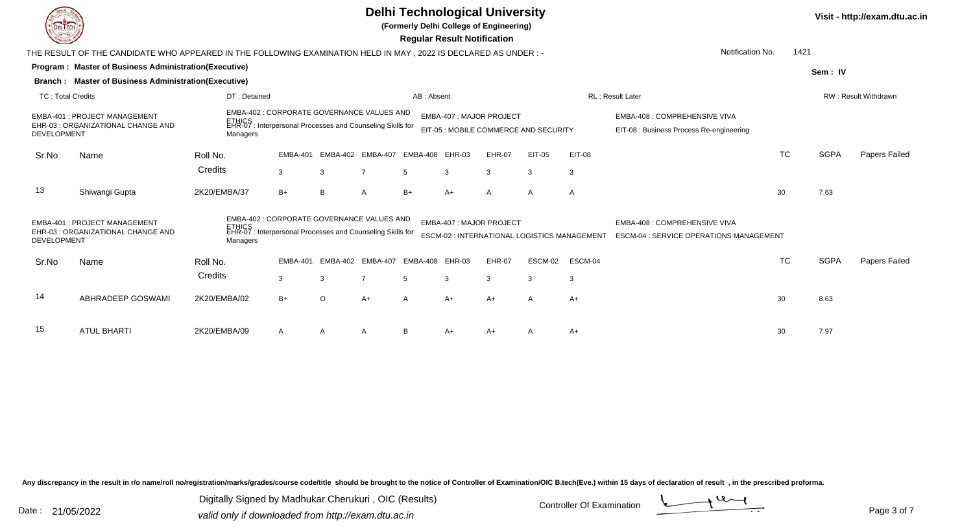

**(Formerly Delhi College of Engineering)**

**Visit - http://exam.dtu.ac.in**

 **Regular Result Notification**

|                                                                                                                                                                                                                     | THE RESULT OF THE CANDIDATE WHO APPEARED IN THE FOLLOWING EXAMINATION HELD IN MAY, 2022 IS DECLARED AS UNDER:- |                                                                                                                    |                 |          |                   |                          |      |                                                                   |                                                                                        |         | Notification No.                                                          | 1421      |             |               |
|---------------------------------------------------------------------------------------------------------------------------------------------------------------------------------------------------------------------|----------------------------------------------------------------------------------------------------------------|--------------------------------------------------------------------------------------------------------------------|-----------------|----------|-------------------|--------------------------|------|-------------------------------------------------------------------|----------------------------------------------------------------------------------------|---------|---------------------------------------------------------------------------|-----------|-------------|---------------|
|                                                                                                                                                                                                                     | Program: Master of Business Administration(Executive)                                                          |                                                                                                                    |                 |          |                   |                          |      |                                                                   |                                                                                        |         |                                                                           |           | Sem: IV     |               |
|                                                                                                                                                                                                                     | Branch: Master of Business Administration(Executive)                                                           |                                                                                                                    |                 |          |                   |                          |      |                                                                   |                                                                                        |         |                                                                           |           |             |               |
| <b>TC: Total Credits</b>                                                                                                                                                                                            |                                                                                                                | DT: Detained                                                                                                       |                 |          |                   | AB: Absent               |      |                                                                   |                                                                                        |         | <b>RL: Result Later</b><br>RW: Result Withdrawn                           |           |             |               |
| EMBA-402 : CORPORATE GOVERNANCE VALUES AND<br>EMBA-401: PROJECT MANAGEMENT<br>ETHICS<br>EHR-07 : Interpersonal Processes and Counseling Skills for<br>EHR-03 : ORGANIZATIONAL CHANGE AND<br>DEVELOPMENT<br>Managers |                                                                                                                |                                                                                                                    |                 |          |                   |                          |      | EMBA-407 : MAJOR PROJECT<br>EIT-05 : MOBILE COMMERCE AND SECURITY |                                                                                        |         | EMBA-408 : COMPREHENSIVE VIVA<br>EIT-08 : Business Process Re-engineering |           |             |               |
| Sr.No                                                                                                                                                                                                               | Name                                                                                                           | Roll No.                                                                                                           | EMBA-401        |          | EMBA-402 EMBA-407 | EMBA-408 EHR-03          |      | <b>EHR-07</b>                                                     | EIT-05                                                                                 | EIT-08  |                                                                           | <b>TC</b> | <b>SGPA</b> | Papers Failed |
|                                                                                                                                                                                                                     |                                                                                                                | Credits                                                                                                            | $\mathbf{3}$    | 3        | $\overline{7}$    | 5                        | 3    | 3                                                                 | 3                                                                                      | 3       |                                                                           |           |             |               |
| 13                                                                                                                                                                                                                  | Shiwangi Gupta                                                                                                 | 2K20/EMBA/37                                                                                                       | $B+$            | B        | A                 | $B+$                     | A+   | А                                                                 | A                                                                                      | A       |                                                                           | 30        | 7.63        |               |
| <b>DEVELOPMENT</b>                                                                                                                                                                                                  | <b>EMBA-401: PROJECT MANAGEMENT</b><br>EHR-03 : ORGANIZATIONAL CHANGE AND                                      | EMBA-402 : CORPORATE GOVERNANCE VALUES AND<br>ETHICS<br>EHR-07 : Interpersonal Processes and Counseling Skills for |                 |          |                   | EMBA-407 : MAJOR PROJECT |      | ESCM-02 : INTERNATIONAL LOGISTICS MANAGEMENT                      | <b>EMBA-408 : COMPREHENSIVE VIVA</b><br><b>ESCM-04 : SERVICE OPERATIONS MANAGEMENT</b> |         |                                                                           |           |             |               |
| Sr.No                                                                                                                                                                                                               | Name                                                                                                           | Roll No.                                                                                                           | <b>EMBA-401</b> | EMBA-402 | <b>EMBA-407</b>   | EMBA-408 EHR-03          |      | <b>EHR-07</b>                                                     | ESCM-02                                                                                | ESCM-04 |                                                                           | <b>TC</b> | <b>SGPA</b> | Papers Failed |
|                                                                                                                                                                                                                     |                                                                                                                | Credits                                                                                                            | $\mathbf{3}$    | 3        | $\overline{7}$    | 5                        | 3    | 3                                                                 | 3                                                                                      | 3       |                                                                           |           |             |               |
| 14                                                                                                                                                                                                                  | ABHRADEEP GOSWAMI                                                                                              | 2K20/EMBA/02                                                                                                       | $B+$            | $\circ$  | $A+$              | A                        | $A+$ | $A+$                                                              | A                                                                                      | A+      |                                                                           | 30        | 8.63        |               |
| 15                                                                                                                                                                                                                  | <b>ATUL BHARTI</b>                                                                                             | 2K20/EMBA/09                                                                                                       | A               | A        | A                 | <sub>B</sub>             | A+   | A+                                                                | A                                                                                      | $A+$    |                                                                           | 30        | 7.97        |               |

Any discrepancy in the result in r/o name/roll no/registration/marks/grades/course code/title should be brought to the notice of Controller of Examination/OIC B.tech(Eve.) within 15 days of declaration of result, in the pr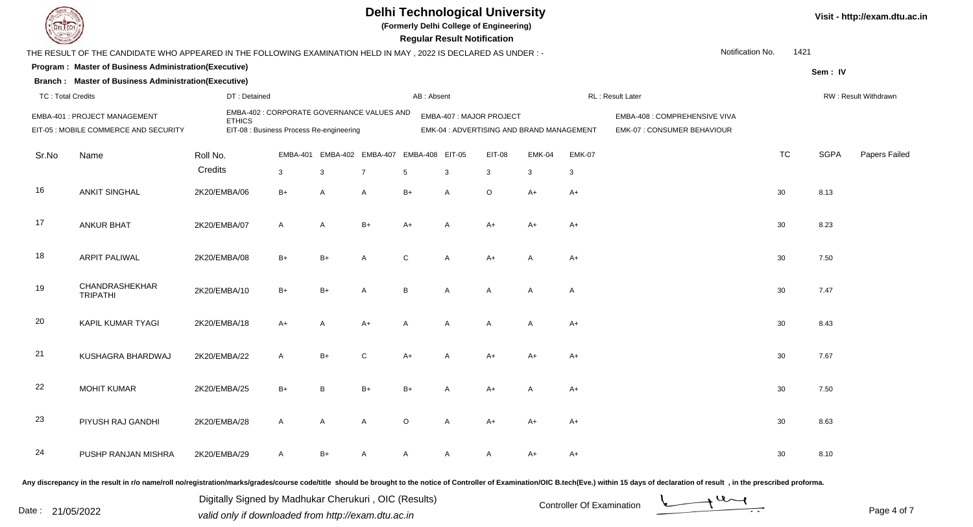

**(Formerly Delhi College of Engineering)**

 **Regular Result Notification**

|                          | THE RESULT OF THE CANDIDATE WHO APPEARED IN THE FOLLOWING EXAMINATION HELD IN MAY, 2022 IS DECLARED AS UNDER :- |                     |                                                                                        |      |                                     |                                    |                |                         |                                           |                    | Notification No.                                             | 1421      |             |                      |
|--------------------------|-----------------------------------------------------------------------------------------------------------------|---------------------|----------------------------------------------------------------------------------------|------|-------------------------------------|------------------------------------|----------------|-------------------------|-------------------------------------------|--------------------|--------------------------------------------------------------|-----------|-------------|----------------------|
|                          | Program: Master of Business Administration(Executive)                                                           |                     |                                                                                        |      |                                     |                                    |                |                         |                                           |                    |                                                              |           | Sem: IV     |                      |
|                          | <b>Branch: Master of Business Administration(Executive)</b>                                                     |                     |                                                                                        |      |                                     |                                    |                |                         |                                           |                    |                                                              |           |             |                      |
| <b>TC: Total Credits</b> |                                                                                                                 | DT: Detained        |                                                                                        |      |                                     | AB: Absent                         |                |                         |                                           |                    | RL: Result Later                                             |           |             | RW: Result Withdrawn |
|                          | EMBA-401 : PROJECT MANAGEMENT<br>EIT-05 : MOBILE COMMERCE AND SECURITY                                          | <b>ETHICS</b>       | EMBA-402 : CORPORATE GOVERNANCE VALUES AND<br>EIT-08 : Business Process Re-engineering |      |                                     |                                    |                | EMBA-407: MAJOR PROJECT | EMK-04 : ADVERTISING AND BRAND MANAGEMENT |                    | EMBA-408 : COMPREHENSIVE VIVA<br>EMK-07 : CONSUMER BEHAVIOUR |           |             |                      |
| Sr.No                    | Name                                                                                                            | Roll No.<br>Credits | <b>EMBA-401</b><br>$\mathbf{3}$                                                        | 3    | EMBA-402 EMBA-407<br>$\overline{7}$ | EMBA-408 EIT-05<br>$5\overline{)}$ | 3              | <b>EIT-08</b><br>3      | <b>EMK-04</b><br>3                        | <b>EMK-07</b><br>3 |                                                              | <b>TC</b> | <b>SGPA</b> | Papers Failec        |
| 16                       | <b>ANKIT SINGHAL</b>                                                                                            | 2K20/EMBA/06        | $B+$                                                                                   | A    | A                                   | $B+$                               | A              | $\circ$                 | $A+$                                      | $A+$               |                                                              | 30        | 8.13        |                      |
| 17                       | <b>ANKUR BHAT</b>                                                                                               | 2K20/EMBA/07        | $\mathsf{A}$                                                                           | A    | $B+$                                | $A+$                               | $\mathsf{A}$   | $A+$                    | $A+$                                      | $A+$               |                                                              | 30        | 8.23        |                      |
| 18                       | <b>ARPIT PALIWAL</b>                                                                                            | 2K20/EMBA/08        | $B+$                                                                                   | $B+$ | A                                   | C                                  | A              | $A+$                    | $\overline{A}$                            | $A+$               |                                                              | 30        | 7.50        |                      |
| 19                       | CHANDRASHEKHAR<br><b>TRIPATHI</b>                                                                               | 2K20/EMBA/10        | $B+$                                                                                   | $B+$ | Α                                   | B                                  | A              | $\mathsf{A}$            | A                                         | $\overline{A}$     |                                                              | 30        | 7.47        |                      |
| 20                       | KAPIL KUMAR TYAGI                                                                                               | 2K20/EMBA/18        | A+                                                                                     | A    | $A+$                                | A                                  | $\mathsf{A}$   | $\mathsf{A}$            | $\overline{A}$                            | $A+$               |                                                              | 30        | 8.43        |                      |
| 21                       | KUSHAGRA BHARDWAJ                                                                                               | 2K20/EMBA/22        | $\mathsf{A}$                                                                           | $B+$ | $\mathbf C$                         | $A+$                               | $\overline{A}$ | $A+$                    | $A+$                                      | $A+$               |                                                              | 30        | 7.67        |                      |
| 22                       | <b>MOHIT KUMAR</b>                                                                                              | 2K20/EMBA/25        | $B+$                                                                                   | B    | $B+$                                | $B+$                               | A              | $A+$                    | A                                         | $A+$               |                                                              | 30        | 7.50        |                      |
| 23                       | PIYUSH RAJ GANDHI                                                                                               | 2K20/EMBA/28        | $\mathsf{A}$                                                                           | A    | Α                                   | $\circ$                            | A              | $A+$                    | A+                                        | $A+$               |                                                              | 30        | 8.63        |                      |
| 24                       | PUSHP RANJAN MISHRA                                                                                             | 2K20/EMBA/29        | $\mathsf{A}$                                                                           | B+   | A                                   | A                                  | A              | A                       | $A+$                                      | $A+$               |                                                              | 30        | 8.10        |                      |

Any discrepancy in the result in r/o name/roll no/registration/marks/grades/course code/title should be brought to the notice of Controller of Examination/OIC B.tech(Eve.) within 15 days of declaration of result, in the pr

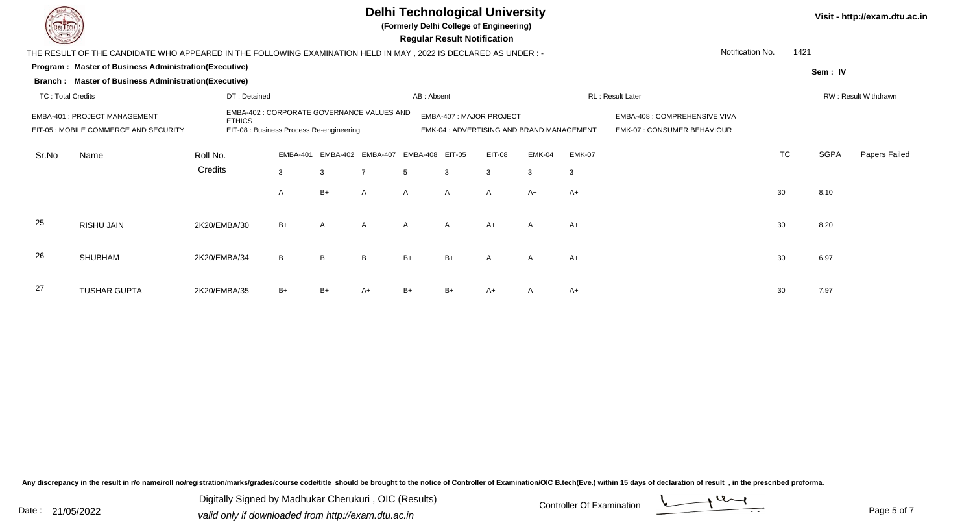Sr.No

25

26

27

TUSHAR GUPTA

## **Delhi Technological University**

**Program : Master of Business Administration(Executive) Regular Result Notification(Formerly Delhi College of Engineering)Sem : IVBranch : Master of Business Administration(Executive)** THE RESULT OF THE CANDIDATE WHO APPEARED IN THE FOLLOWING EXAMINATION HELD IN MAY , 2022 IS DECLARED AS UNDER : -TC : Total Credits DT : Detainedd AB : Absent RL : Result Later RW : Result Withdrawn Notification No. 1421Name Roll No. **Credits** EMBA-401 : PROJECT MANAGEMENT EMBA-402 : CORPORATE GOVERNANCE VALUES AND ETHICS EMBA-407 : MAJOR PROJECT EMBA-408 : COMPREHENSIVE VIVA EIT-05 : MOBILE COMMERCE AND SECURITY EIT-08 : Business Process Re-engineering EMK-04 : ADVERTISING AND BRAND MANAGEMENT EMK-07 : CONSUMER BEHAVIOUREMBA-401 EMBA-402 EMBA-407 EMBA-408 EIT-05 EIT-08 EMK-04 EMK-07 TC SGPA Papers Failed 3 <sup>3</sup> <sup>7</sup> <sup>5</sup> <sup>3</sup> <sup>3</sup> <sup>3</sup> <sup>3</sup> AA B+ A A A A A+ A+  $\lambda$ + A+ 30 8.10 RISHU JAINN 2K20/EMBA/30 B+ A A A A A A+ A+ A+ A+ C A A 30 8.20 SHUBHAMM 2K20/EMBA/34 B B B B+ B+ A A A+

2K20/EMBA/35 B+ B+ A+ B+ B+ A+ <sup>A</sup> A+ <sup>30</sup> 7.97

Any discrepancy in the result in r/o name/roll no/registration/marks/grades/course code/title should be brought to the notice of Controller of Examination/OIC B.tech(Eve.) within 15 days of declaration of result , in the p

Date : 21/05/2022 Valid only if downloaded from http://exam.dtu.ac.in<br>
Date : 21/05/2022 valid only if downloaded from http://exam.dtu.ac.in Digitally Signed by Madhukar Cherukuri , OIC (Results)

Page 5 of 7

**Visit - http://exam.dtu.ac.in**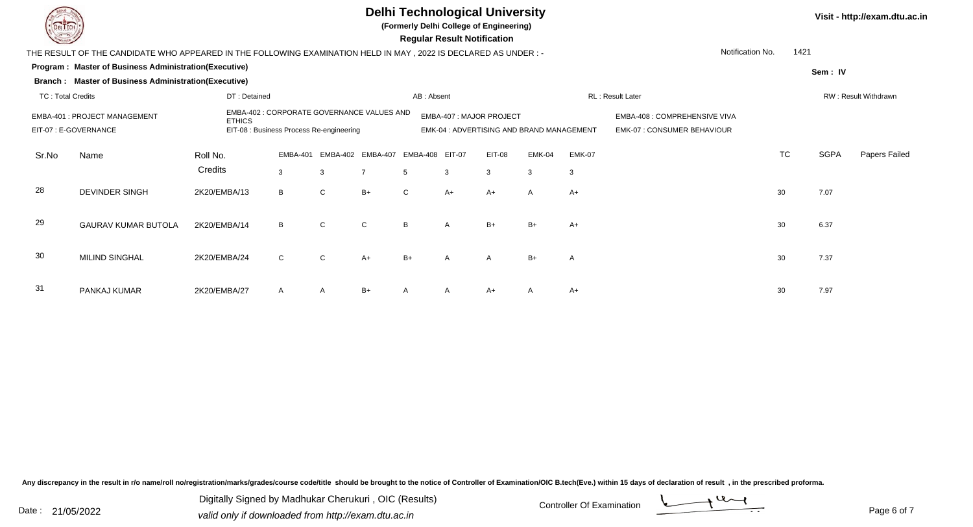

**(Formerly Delhi College of Engineering)**

 **Regular Result Notification**

|                                                                                                                                                                   | THE RESULT OF THE CANDIDATE WHO APPEARED IN THE FOLLOWING EXAMINATION HELD IN MAY , 2022 IS DECLARED AS UNDER :- |              |              |                                     |                |      |                          |                                          |                  |                                                                    | Notification No. | 1421                 |             |               |
|-------------------------------------------------------------------------------------------------------------------------------------------------------------------|------------------------------------------------------------------------------------------------------------------|--------------|--------------|-------------------------------------|----------------|------|--------------------------|------------------------------------------|------------------|--------------------------------------------------------------------|------------------|----------------------|-------------|---------------|
|                                                                                                                                                                   | Program: Master of Business Administration(Executive)                                                            |              |              |                                     |                |      |                          |                                          |                  |                                                                    |                  |                      | Sem: IV     |               |
|                                                                                                                                                                   | <b>Branch: Master of Business Administration(Executive)</b>                                                      |              |              |                                     |                |      |                          |                                          |                  |                                                                    |                  |                      |             |               |
| <b>TC: Total Credits</b>                                                                                                                                          |                                                                                                                  |              |              | AB: Absent                          |                |      |                          |                                          | RL: Result Later |                                                                    |                  | RW: Result Withdrawn |             |               |
| EMBA-402 : CORPORATE GOVERNANCE VALUES AND<br>EMBA-401 : PROJECT MANAGEMENT<br><b>ETHICS</b><br>EIT-07 : E-GOVERNANCE<br>EIT-08 : Business Process Re-engineering |                                                                                                                  |              |              |                                     |                |      | EMBA-407 : MAJOR PROJECT | EMK-04: ADVERTISING AND BRAND MANAGEMENT |                  | EMBA-408 : COMPREHENSIVE VIVA<br><b>EMK-07: CONSUMER BEHAVIOUR</b> |                  |                      |             |               |
| Sr.No                                                                                                                                                             | Name                                                                                                             | Roll No.     |              | EMBA-401 EMBA-402 EMBA-407 EMBA-408 |                |      | <b>EIT-07</b>            | EIT-08                                   | EMK-04           | <b>EMK-07</b>                                                      |                  | <b>TC</b>            | <b>SGPA</b> | Papers Failed |
|                                                                                                                                                                   |                                                                                                                  | Credits      | 3            | $\mathbf{3}$                        | $\overline{7}$ | 5    | 3                        | 3                                        | 3                | 3                                                                  |                  |                      |             |               |
| 28                                                                                                                                                                | <b>DEVINDER SINGH</b>                                                                                            | 2K20/EMBA/13 | B            | $\mathsf{C}$                        | $B+$           | C    | $A+$                     | A+                                       | Α                | $A+$                                                               |                  | 30                   | 7.07        |               |
| 29                                                                                                                                                                | <b>GAURAV KUMAR BUTOLA</b>                                                                                       | 2K20/EMBA/14 | B            | C                                   | $\mathsf{C}$   | B    | A                        | B+                                       | $B+$             | $A+$                                                               |                  | 30                   | 6.37        |               |
| 30                                                                                                                                                                | <b>MILIND SINGHAL</b>                                                                                            | 2K20/EMBA/24 | $\mathsf{C}$ | C                                   | $A+$           | $B+$ | A                        | A                                        | $B+$             | A                                                                  |                  | 30                   | 7.37        |               |
| 31                                                                                                                                                                | PANKAJ KUMAR                                                                                                     | 2K20/EMBA/27 | $\mathsf{A}$ | $\mathsf{A}$                        | $B+$           | A    | A                        | A+                                       | A                | $A+$                                                               |                  | 30                   | 7.97        |               |

Any discrepancy in the result in r/o name/roll no/registration/marks/grades/course code/title should be brought to the notice of Controller of Examination/OIC B.tech(Eve.) within 15 days of declaration of result, in the pr

Digitally Signed by Madhukar Cherukuri, OIC (Results)<br>Date : 21/05/2022 valid only if downloaded from http://oxam.dtu.ac.in Digitally Signed by Madhukar Cherukuri , OIC (Results)valid only if downloaded from http://exam.dtu.ac.in

Page 6 of 7

**Visit - http://exam.dtu.ac.in**